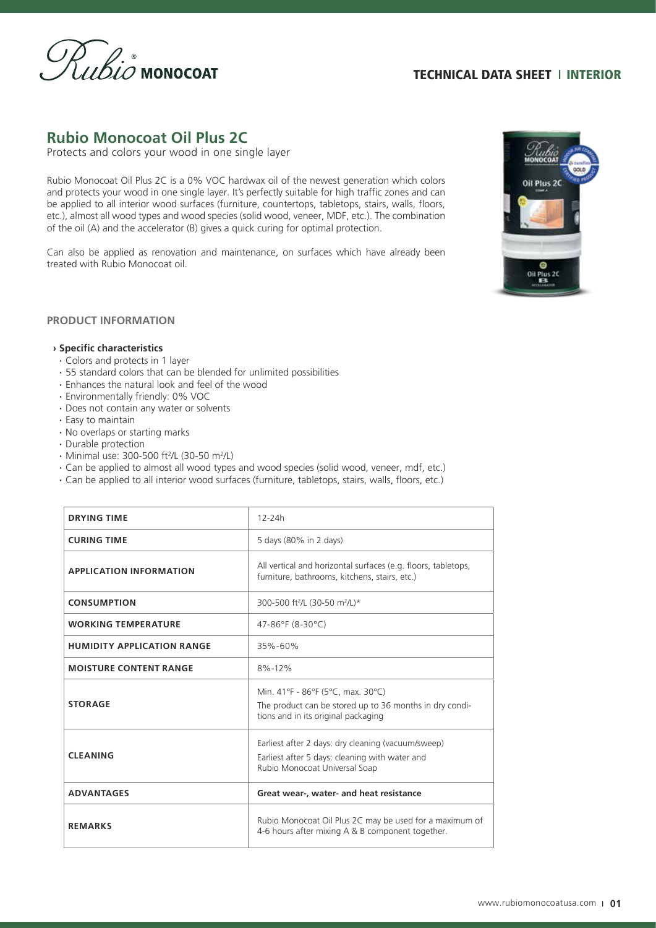

# **Rubio Monocoat Oil Plus 2C**

Protects and colors your wood in one single layer

Rubio Monocoat Oil Plus 2C is a 0% VOC hardwax oil of the newest generation which colors and protects your wood in one single layer. It's perfectly suitable for high traffic zones and can be applied to all interior wood surfaces (furniture, countertops, tabletops, stairs, walls, floors, etc.), almost all wood types and wood species (solid wood, veneer, MDF, etc.). The combination of the oil (A) and the accelerator (B) gives a quick curing for optimal protection.

Can also be applied as renovation and maintenance, on surfaces which have already been treated with Rubio Monocoat oil.



### **PRODUCT INFORMATION**

#### **› Specific characteristics**

- **·** Colors and protects in 1 layer
- **·** 55 standard colors that can be blended for unlimited possibilities
- **·** Enhances the natural look and feel of the wood
- **·** Environmentally friendly: 0% VOC
- **·** Does not contain any water or solvents
- **·** Easy to maintain
- **·** No overlaps or starting marks
- **·** Durable protection
- **Minimal use: 300-500 ft<sup>2</sup>/L (30-50 m<sup>2</sup>/L)**
- **·** Can be applied to almost all wood types and wood species (solid wood, veneer, mdf, etc.)
- **·** Can be applied to all interior wood surfaces (furniture, tabletops, stairs, walls, floors, etc.)

| <b>DRYING TIME</b>                | 12-24h                                                                                                                                |  |
|-----------------------------------|---------------------------------------------------------------------------------------------------------------------------------------|--|
| <b>CURING TIME</b>                | 5 days (80% in 2 days)                                                                                                                |  |
| <b>APPLICATION INFORMATION</b>    | All vertical and horizontal surfaces (e.g. floors, tabletops,<br>furniture, bathrooms, kitchens, stairs, etc.)                        |  |
| <b>CONSUMPTION</b>                | 300-500 ft <sup>2</sup> /L (30-50 m <sup>2</sup> /L)*                                                                                 |  |
| <b>WORKING TEMPERATURE</b>        | 47-86°F (8-30°C)                                                                                                                      |  |
| <b>HUMIDITY APPLICATION RANGE</b> | 35%-60%                                                                                                                               |  |
| <b>MOISTURE CONTENT RANGE</b>     | $8\% - 12\%$                                                                                                                          |  |
| <b>STORAGE</b>                    | Min. 41°F - 86°F (5°C, max. 30°C)<br>The product can be stored up to 36 months in dry condi-<br>tions and in its original packaging   |  |
| <b>CLEANING</b>                   | Earliest after 2 days: dry cleaning (vacuum/sweep)<br>Earliest after 5 days: cleaning with water and<br>Rubio Monocoat Universal Soap |  |
| <b>ADVANTAGES</b>                 | Great wear-, water- and heat resistance                                                                                               |  |
| <b>REMARKS</b>                    | Rubio Monocoat Oil Plus 2C may be used for a maximum of<br>4-6 hours after mixing A & B component together.                           |  |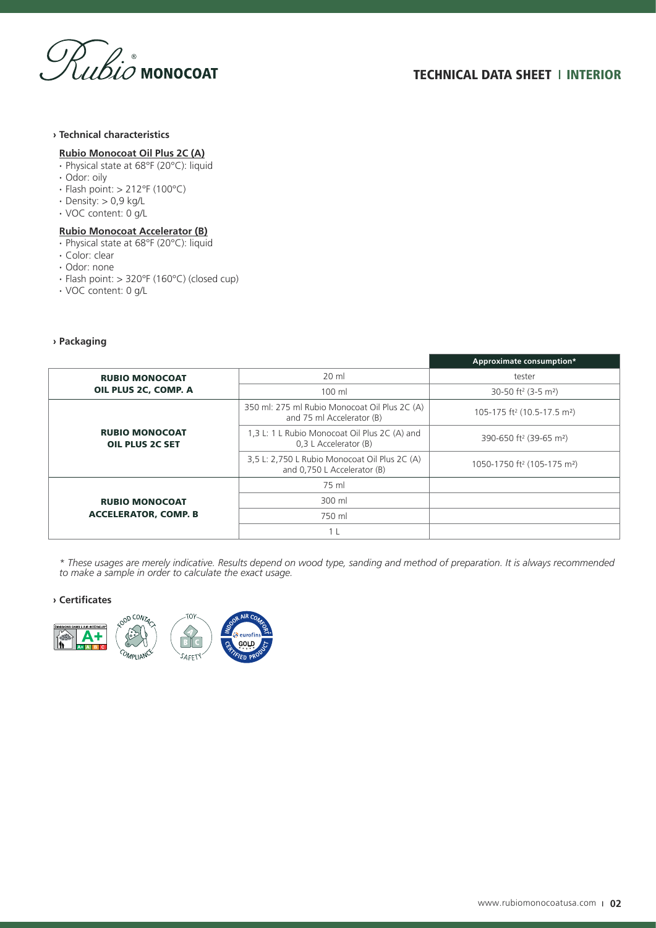

### **› Technical characteristics**

### **Rubio Monocoat Oil Plus 2C (A)**

- **·** Physical state at 68°F (20°C): liquid
- **·** Odor: oily
- **·** Flash point: > 212°F (100°C)
- **·** Density: > 0,9 kg/L
- **·** VOC content: 0 g/L

### **Rubio Monocoat Accelerator (B)**

- **·** Physical state at 68°F (20°C): liquid
- **·** Color: clear
- **·** Odor: none
- **·** Flash point: > 320°F (160°C) (closed cup)
- **·** VOC content: 0 g/L

### **› Packaging**

|                                                      |                                                                              | Approximate consumption*                            |
|------------------------------------------------------|------------------------------------------------------------------------------|-----------------------------------------------------|
| <b>RUBIO MONOCOAT</b><br>OIL PLUS 2C, COMP. A        | 20 ml                                                                        | tester                                              |
|                                                      | 100 ml                                                                       | 30-50 ft <sup>2</sup> (3-5 m <sup>2</sup> )         |
| <b>RUBIO MONOCOAT</b><br><b>OIL PLUS 2C SET</b>      | 350 ml: 275 ml Rubio Monocoat Oil Plus 2C (A)<br>and 75 ml Accelerator (B)   | 105-175 ft <sup>2</sup> (10.5-17.5 m <sup>2</sup> ) |
|                                                      | 1,3 L: 1 L Rubio Monocoat Oil Plus 2C (A) and<br>0.3 L Accelerator (B)       | 390-650 ft <sup>2</sup> (39-65 m <sup>2</sup> )     |
|                                                      | 3,5 L: 2,750 L Rubio Monocoat Oil Plus 2C (A)<br>and 0,750 L Accelerator (B) | 1050-1750 ft <sup>2</sup> (105-175 m <sup>2</sup> ) |
| <b>RUBIO MONOCOAT</b><br><b>ACCELERATOR, COMP. B</b> | 75 ml                                                                        |                                                     |
|                                                      | 300 ml                                                                       |                                                     |
|                                                      | 750 ml                                                                       |                                                     |
|                                                      |                                                                              |                                                     |

*\* These usages are merely indicative. Results depend on wood type, sanding and method of preparation. It is always recommended to make a sample in order to calculate the exact usage.*

### **› Certificates**

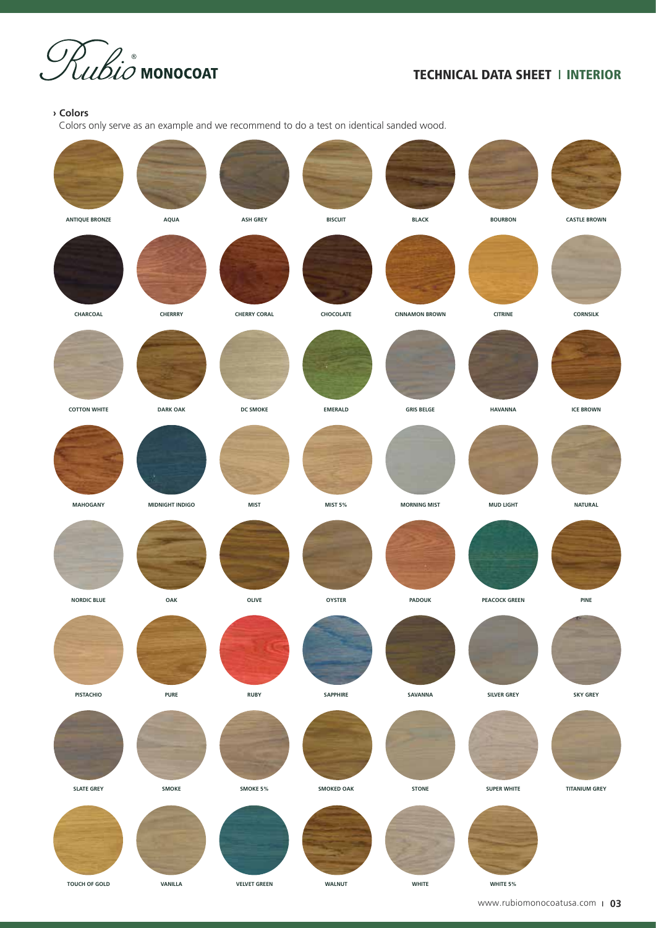

### **› Colors**

Colors only serve as an example and we recommend to do a test on identical sanded wood.

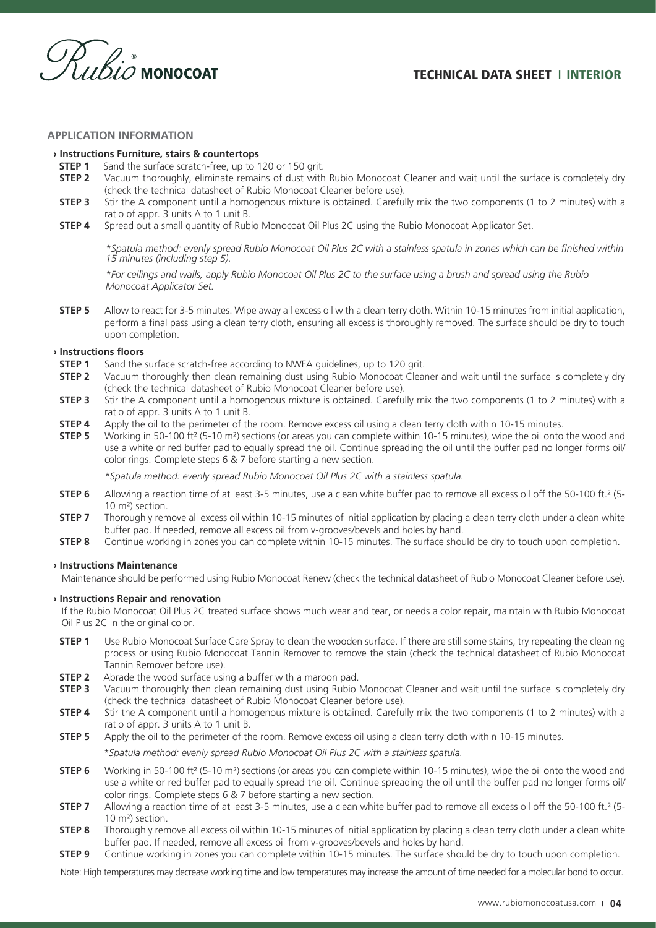

### **APPLICATION INFORMATION**

#### **› Instructions Furniture, stairs & countertops**

- **STEP 1** Sand the surface scratch-free, up to 120 or 150 grit.
- **STEP 2** Vacuum thoroughly, eliminate remains of dust with Rubio Monocoat Cleaner and wait until the surface is completely dry (check the technical datasheet of Rubio Monocoat Cleaner before use).
- **STEP 3** Stir the A component until a homogenous mixture is obtained. Carefully mix the two components (1 to 2 minutes) with a ratio of appr. 3 units A to 1 unit B.
- **STEP 4** Spread out a small quantity of Rubio Monocoat Oil Plus 2C using the Rubio Monocoat Applicator Set.

*\*Spatula method: evenly spread Rubio Monocoat Oil Plus 2C with a stainless spatula in zones which can be finished within 15 minutes (including step 5).*

*\*For ceilings and walls, apply Rubio Monocoat Oil Plus 2C to the surface using a brush and spread using the Rubio Monocoat Applicator Set.*

**STEP 5** Allow to react for 3-5 minutes. Wipe away all excess oil with a clean terry cloth. Within 10-15 minutes from initial application, perform a final pass using a clean terry cloth, ensuring all excess is thoroughly removed. The surface should be dry to touch upon completion.

#### **› Instructions floors**

- **STEP 1** Sand the surface scratch-free according to NWFA guidelines, up to 120 grit.
- **STEP 2** Vacuum thoroughly then clean remaining dust using Rubio Monocoat Cleaner and wait until the surface is completely dry (check the technical datasheet of Rubio Monocoat Cleaner before use).
- **STEP 3** Stir the A component until a homogenous mixture is obtained. Carefully mix the two components (1 to 2 minutes) with a ratio of appr. 3 units A to 1 unit B.
- **STEP 4** Apply the oil to the perimeter of the room. Remove excess oil using a clean terry cloth within 10-15 minutes.
- **STEP 5** Working in 50-100 ft<sup>2</sup> (5-10 m<sup>2</sup>) sections (or areas you can complete within 10-15 minutes), wipe the oil onto the wood and use a white or red buffer pad to equally spread the oil. Continue spreading the oil until the buffer pad no longer forms oil/ color rings. Complete steps 6 & 7 before starting a new section.

*\*Spatula method: evenly spread Rubio Monocoat Oil Plus 2C with a stainless spatula.*

- **STEP 6** Allowing a reaction time of at least 3-5 minutes, use a clean white buffer pad to remove all excess oil off the 50-100 ft.<sup>2</sup> (5-10 m²) section.
- **STEP 7** Thoroughly remove all excess oil within 10-15 minutes of initial application by placing a clean terry cloth under a clean white buffer pad. If needed, remove all excess oil from v-grooves/bevels and holes by hand.
- **STEP 8** Continue working in zones you can complete within 10-15 minutes. The surface should be dry to touch upon completion.

#### **› Instructions Maintenance**

Maintenance should be performed using Rubio Monocoat Renew (check the technical datasheet of Rubio Monocoat Cleaner before use).

### **› Instructions Repair and renovation**

If the Rubio Monocoat Oil Plus 2C treated surface shows much wear and tear, or needs a color repair, maintain with Rubio Monocoat Oil Plus 2C in the original color.

- **STEP 1** Use Rubio Monocoat Surface Care Spray to clean the wooden surface. If there are still some stains, try repeating the cleaning process or using Rubio Monocoat Tannin Remover to remove the stain (check the technical datasheet of Rubio Monocoat Tannin Remover before use).
- **STEP 2** Abrade the wood surface using a buffer with a maroon pad.
- **STEP 3** Vacuum thoroughly then clean remaining dust using Rubio Monocoat Cleaner and wait until the surface is completely dry (check the technical datasheet of Rubio Monocoat Cleaner before use).
- **STEP 4** Stir the A component until a homogenous mixture is obtained. Carefully mix the two components (1 to 2 minutes) with a ratio of appr. 3 units A to 1 unit B.
- **STEP 5** Apply the oil to the perimeter of the room. Remove excess oil using a clean terry cloth within 10-15 minutes.
	- *\*Spatula method: evenly spread Rubio Monocoat Oil Plus 2C with a stainless spatula.*
- **STEP 6** Working in 50-100 ft<sup>2</sup> (5-10 m<sup>2</sup>) sections (or areas you can complete within 10-15 minutes), wipe the oil onto the wood and use a white or red buffer pad to equally spread the oil. Continue spreading the oil until the buffer pad no longer forms oil/ color rings. Complete steps 6 & 7 before starting a new section.
- **STEP 7** Allowing a reaction time of at least 3-5 minutes, use a clean white buffer pad to remove all excess oil off the 50-100 ft.<sup>2</sup> (5-10 m²) section.
- **STEP 8** Thoroughly remove all excess oil within 10-15 minutes of initial application by placing a clean terry cloth under a clean white buffer pad. If needed, remove all excess oil from v-grooves/bevels and holes by hand.
- **STEP 9** Continue working in zones you can complete within 10-15 minutes. The surface should be dry to touch upon completion.

Note: High temperatures may decrease working time and low temperatures may increase the amount of time needed for a molecular bond to occur.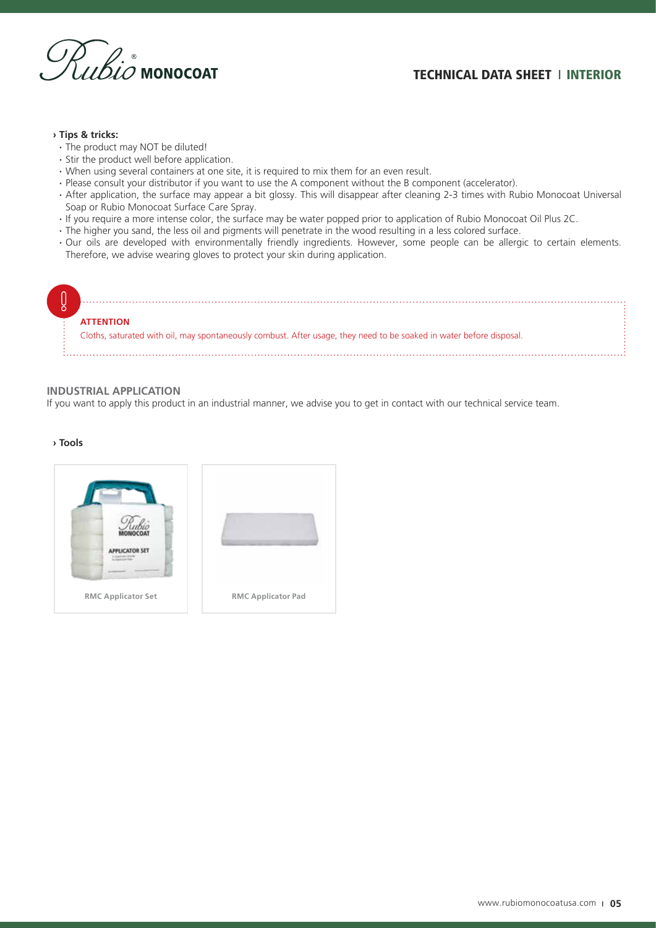

### **› Tips & tricks:**

- **·** The product may NOT be diluted!
- **·** Stir the product well before application.
- **·** When using several containers at one site, it is required to mix them for an even result.
- **·** Please consult your distributor if you want to use the A component without the B component (accelerator).
- **·** After application, the surface may appear a bit glossy. This will disappear after cleaning 2-3 times with Rubio Monocoat Universal Soap or Rubio Monocoat Surface Care Spray.
- **·** If you require a more intense color, the surface may be water popped prior to application of Rubio Monocoat Oil Plus 2C.
- **·** The higher you sand, the less oil and pigments will penetrate in the wood resulting in a less colored surface.
- **·** Our oils are developed with environmentally friendly ingredients. However, some people can be allergic to certain elements. Therefore, we advise wearing gloves to protect your skin during application.



### **INDUSTRIAL APPLICATION**

If you want to apply this product in an industrial manner, we advise you to get in contact with our technical service team.

### **› Tools**